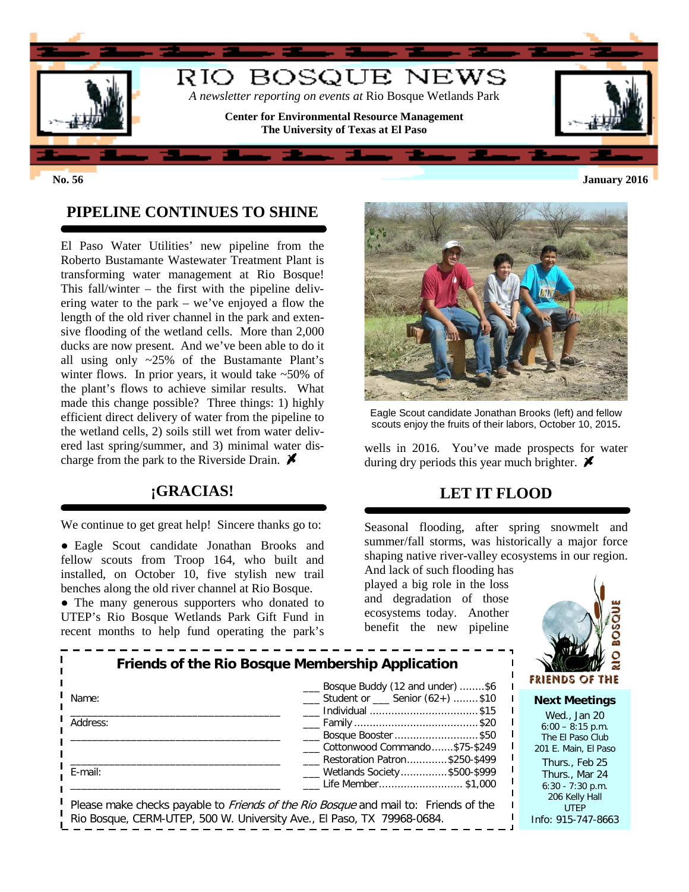

### **PIPELINE CONTINUES TO SHINE**

El Paso Water Utilities' new pipeline from the Roberto Bustamante Wastewater Treatment Plant is transforming water management at Rio Bosque! This fall/winter – the first with the pipeline delivering water to the park – we've enjoyed a flow the length of the old river channel in the park and extensive flooding of the wetland cells. More than 2,000 ducks are now present. And we've been able to do it all using only ~25% of the Bustamante Plant's winter flows. In prior years, it would take ~50% of the plant's flows to achieve similar results. What made this change possible? Three things: 1) highly efficient direct delivery of water from the pipeline to the wetland cells, 2) soils still wet from water delivered last spring/summer, and 3) minimal water discharge from the park to the Riverside Drain.  $\blacktriangleright$ 

#### **¡GRACIAS!**

We continue to get great help! Sincere thanks go to:

● Eagle Scout candidate Jonathan Brooks and fellow scouts from Troop 164, who built and installed, on October 10, five stylish new trail benches along the old river channel at Rio Bosque.

• The many generous supporters who donated to UTEP's Rio Bosque Wetlands Park Gift Fund in recent months to help fund operating the park's



Eagle Scout candidate Jonathan Brooks (left) and fellow scouts enjoy the fruits of their labors, October 10, 2015**.**

wells in 2016. You've made prospects for water during dry periods this year much brighter.  $\blacktriangleright$ 

## **LET IT FLOOD**

Seasonal flooding, after spring snowmelt and summer/fall storms, was historically a major force shaping native river-valley ecosystems in our region.

And lack of such flooding has played a big role in the loss and degradation of those ecosystems today. Another benefit the new pipeline



**Next Meetings** Wed., Jan 20  $6:00 - 8:15$  p.m. The El Paso Club 201 E. Main, El Paso Thurs., Feb 25 Thurs., Mar 24 6:30 - 7:30 p.m. 206 Kelly Hall UTEP Info: 915-747-8663

|          | Friends of the Rio Bosque Membership Application                                           |
|----------|--------------------------------------------------------------------------------------------|
| Name:    | Bosque Buddy (12 and under) \$6<br>Student or Senior (62+) \$10<br>Individual \$15         |
| Address: | Bosque Booster \$50<br>Cottonwood Commando\$75-\$249                                       |
| E-mail:  | Restoration Patron\$250-\$499<br>___ Wetlands Society\$500-\$999<br>Life Member\$1,000     |
|          | Please make checks navable to <i>Friends of the Rio Bosque</i> and mail to: Friends of the |

e make cnecks payable to *Friends of the Rio Bosque* and mail to: Friends of tl Rio Bosque, CERM-UTEP, 500 W. University Ave., El Paso, TX 79968-0684.

**No. 56 January 2016**